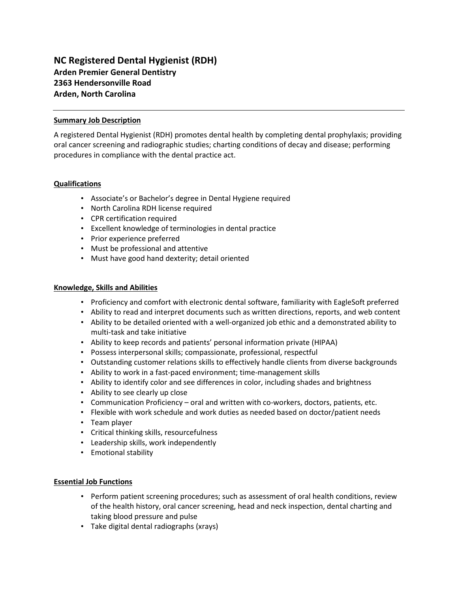# **NC Registered Dental Hygienist (RDH) Arden Premier General Dentistry 2363 Hendersonville Road Arden, North Carolina**

## **Summary Job Description**

A registered Dental Hygienist (RDH) promotes dental health by completing dental prophylaxis; providing oral cancer screening and radiographic studies; charting conditions of decay and disease; performing procedures in compliance with the dental practice act.

## **Qualifications**

- Associate's or Bachelor's degree in Dental Hygiene required
- North Carolina RDH license required
- CPR certification required
- Excellent knowledge of terminologies in dental practice
- Prior experience preferred
- Must be professional and attentive
- Must have good hand dexterity; detail oriented

### **Knowledge, Skills and Abilities**

- Proficiency and comfort with electronic dental software, familiarity with EagleSoft preferred
- Ability to read and interpret documents such as written directions, reports, and web content
- Ability to be detailed oriented with a well-organized job ethic and a demonstrated ability to multi-task and take initiative
- Ability to keep records and patients' personal information private (HIPAA)
- Possess interpersonal skills; compassionate, professional, respectful
- Outstanding customer relations skills to effectively handle clients from diverse backgrounds
- Ability to work in a fast-paced environment; time-management skills
- Ability to identify color and see differences in color, including shades and brightness
- Ability to see clearly up close
- Communication Proficiency oral and written with co-workers, doctors, patients, etc.
- Flexible with work schedule and work duties as needed based on doctor/patient needs
- Team player
- Critical thinking skills, resourcefulness
- Leadership skills, work independently
- Emotional stability

### **Essential Job Functions**

- Perform patient screening procedures; such as assessment of oral health conditions, review of the health history, oral cancer screening, head and neck inspection, dental charting and taking blood pressure and pulse
- Take digital dental radiographs (xrays)